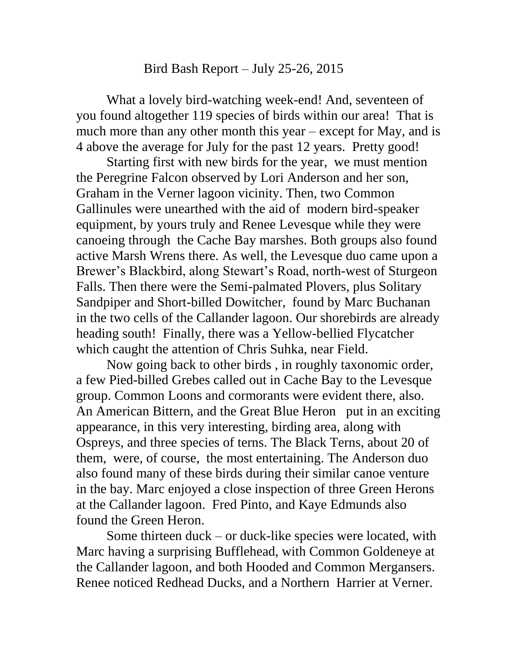## Bird Bash Report – July 25-26, 2015

What a lovely bird-watching week-end! And, seventeen of you found altogether 119 species of birds within our area! That is much more than any other month this year – except for May, and is 4 above the average for July for the past 12 years. Pretty good!

Starting first with new birds for the year, we must mention the Peregrine Falcon observed by Lori Anderson and her son, Graham in the Verner lagoon vicinity. Then, two Common Gallinules were unearthed with the aid of modern bird-speaker equipment, by yours truly and Renee Levesque while they were canoeing through the Cache Bay marshes. Both groups also found active Marsh Wrens there. As well, the Levesque duo came upon a Brewer's Blackbird, along Stewart's Road, north-west of Sturgeon Falls. Then there were the Semi-palmated Plovers, plus Solitary Sandpiper and Short-billed Dowitcher, found by Marc Buchanan in the two cells of the Callander lagoon. Our shorebirds are already heading south! Finally, there was a Yellow-bellied Flycatcher which caught the attention of Chris Suhka, near Field.

Now going back to other birds , in roughly taxonomic order, a few Pied-billed Grebes called out in Cache Bay to the Levesque group. Common Loons and cormorants were evident there, also. An American Bittern, and the Great Blue Heron put in an exciting appearance, in this very interesting, birding area, along with Ospreys, and three species of terns. The Black Terns, about 20 of them, were, of course, the most entertaining. The Anderson duo also found many of these birds during their similar canoe venture in the bay. Marc enjoyed a close inspection of three Green Herons at the Callander lagoon. Fred Pinto, and Kaye Edmunds also found the Green Heron.

Some thirteen duck – or duck-like species were located, with Marc having a surprising Bufflehead, with Common Goldeneye at the Callander lagoon, and both Hooded and Common Mergansers. Renee noticed Redhead Ducks, and a Northern Harrier at Verner.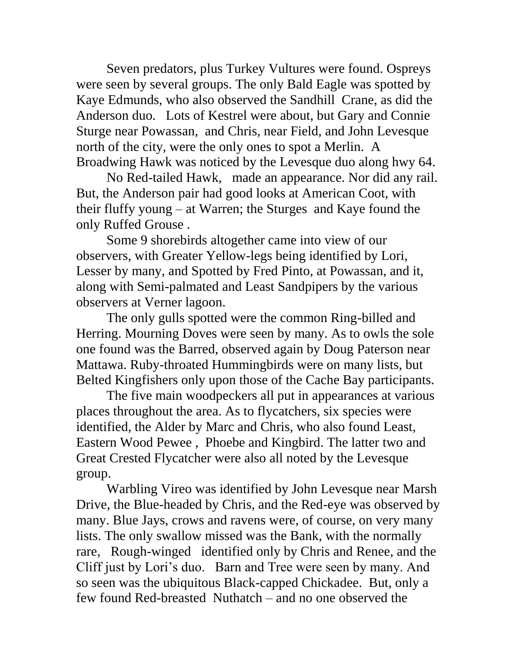Seven predators, plus Turkey Vultures were found. Ospreys were seen by several groups. The only Bald Eagle was spotted by Kaye Edmunds, who also observed the Sandhill Crane, as did the Anderson duo. Lots of Kestrel were about, but Gary and Connie Sturge near Powassan, and Chris, near Field, and John Levesque north of the city, were the only ones to spot a Merlin. A Broadwing Hawk was noticed by the Levesque duo along hwy 64.

No Red-tailed Hawk, made an appearance. Nor did any rail. But, the Anderson pair had good looks at American Coot, with their fluffy young – at Warren; the Sturges and Kaye found the only Ruffed Grouse .

Some 9 shorebirds altogether came into view of our observers, with Greater Yellow-legs being identified by Lori, Lesser by many, and Spotted by Fred Pinto, at Powassan, and it, along with Semi-palmated and Least Sandpipers by the various observers at Verner lagoon.

The only gulls spotted were the common Ring-billed and Herring. Mourning Doves were seen by many. As to owls the sole one found was the Barred, observed again by Doug Paterson near Mattawa. Ruby-throated Hummingbirds were on many lists, but Belted Kingfishers only upon those of the Cache Bay participants.

The five main woodpeckers all put in appearances at various places throughout the area. As to flycatchers, six species were identified, the Alder by Marc and Chris, who also found Least, Eastern Wood Pewee , Phoebe and Kingbird. The latter two and Great Crested Flycatcher were also all noted by the Levesque group.

Warbling Vireo was identified by John Levesque near Marsh Drive, the Blue-headed by Chris, and the Red-eye was observed by many. Blue Jays, crows and ravens were, of course, on very many lists. The only swallow missed was the Bank, with the normally rare, Rough-winged identified only by Chris and Renee, and the Cliff just by Lori's duo. Barn and Tree were seen by many. And so seen was the ubiquitous Black-capped Chickadee. But, only a few found Red-breasted Nuthatch – and no one observed the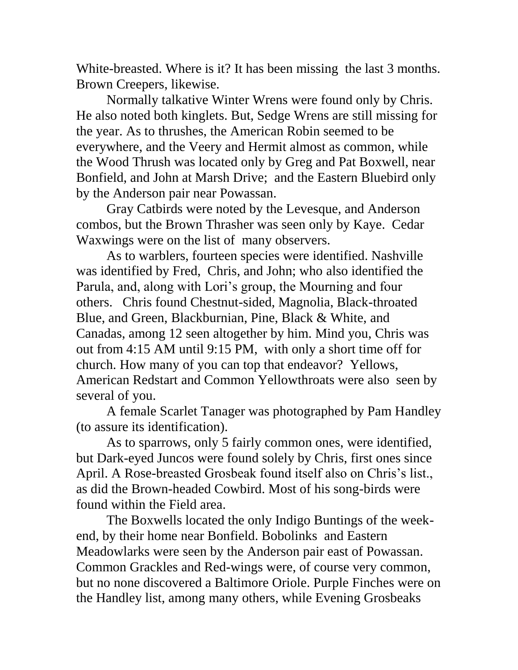White-breasted. Where is it? It has been missing the last 3 months. Brown Creepers, likewise.

Normally talkative Winter Wrens were found only by Chris. He also noted both kinglets. But, Sedge Wrens are still missing for the year. As to thrushes, the American Robin seemed to be everywhere, and the Veery and Hermit almost as common, while the Wood Thrush was located only by Greg and Pat Boxwell, near Bonfield, and John at Marsh Drive; and the Eastern Bluebird only by the Anderson pair near Powassan.

Gray Catbirds were noted by the Levesque, and Anderson combos, but the Brown Thrasher was seen only by Kaye. Cedar Waxwings were on the list of many observers.

As to warblers, fourteen species were identified. Nashville was identified by Fred, Chris, and John; who also identified the Parula, and, along with Lori's group, the Mourning and four others. Chris found Chestnut-sided, Magnolia, Black-throated Blue, and Green, Blackburnian, Pine, Black & White, and Canadas, among 12 seen altogether by him. Mind you, Chris was out from 4:15 AM until 9:15 PM, with only a short time off for church. How many of you can top that endeavor? Yellows, American Redstart and Common Yellowthroats were also seen by several of you.

A female Scarlet Tanager was photographed by Pam Handley (to assure its identification).

As to sparrows, only 5 fairly common ones, were identified, but Dark-eyed Juncos were found solely by Chris, first ones since April. A Rose-breasted Grosbeak found itself also on Chris's list., as did the Brown-headed Cowbird. Most of his song-birds were found within the Field area.

The Boxwells located the only Indigo Buntings of the weekend, by their home near Bonfield. Bobolinks and Eastern Meadowlarks were seen by the Anderson pair east of Powassan. Common Grackles and Red-wings were, of course very common, but no none discovered a Baltimore Oriole. Purple Finches were on the Handley list, among many others, while Evening Grosbeaks